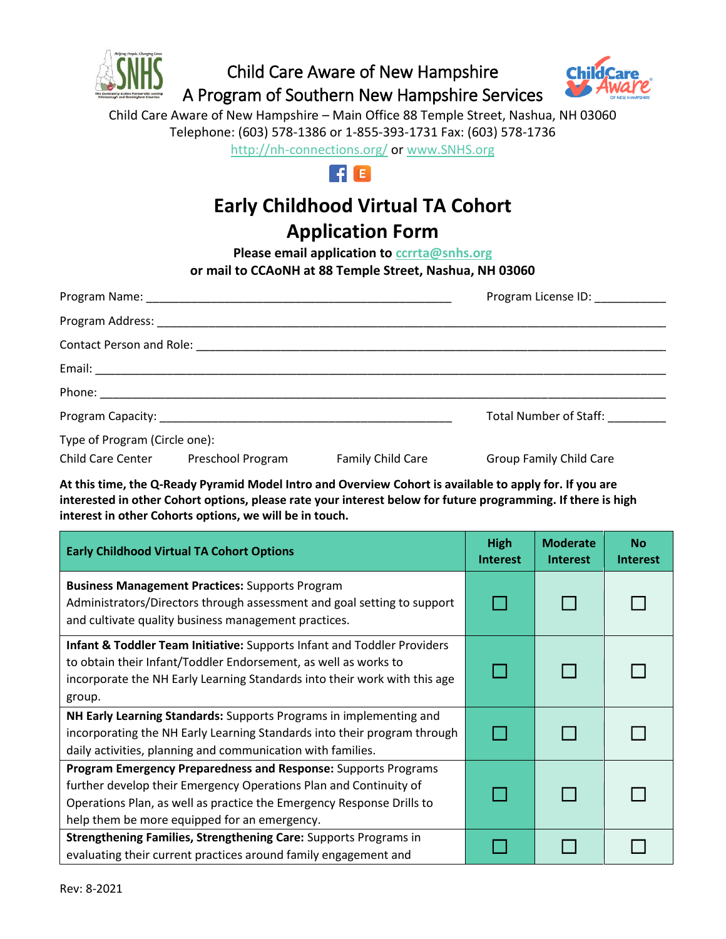

Child Care Aware of New Hampshire A Program of Southern New Hampshire Services



Child Care Aware of New Hampshire – Main Office 88 Temple Street, Nashua, NH 03060 Telephone: (603) 578-1386 or 1-855-393-1731 Fax: (603) 578-1736

<http://nh-connections.org/> or [www.SNHS.org](http://www.snhs.org/) 



## **Early Childhood Virtual TA Cohort**

## **Application Form**

**Please email application to [ccrrta@snhs.org](mailto:ccrrta@snhs.org) or mail to CCAoNH at 88 Temple Street, Nashua, NH 03060**

|                               |                                     |                   | Program License ID: ___________ |  |  |
|-------------------------------|-------------------------------------|-------------------|---------------------------------|--|--|
|                               |                                     |                   |                                 |  |  |
|                               |                                     |                   |                                 |  |  |
|                               |                                     |                   |                                 |  |  |
|                               |                                     |                   |                                 |  |  |
|                               |                                     |                   | Total Number of Staff:          |  |  |
| Type of Program (Circle one): |                                     |                   |                                 |  |  |
|                               | Child Care Center Preschool Program | Family Child Care | <b>Group Family Child Care</b>  |  |  |

**At this time, the Q-Ready Pyramid Model Intro and Overview Cohort is available to apply for. If you are interested in other Cohort options, please rate your interest below for future programming. If there is high interest in other Cohorts options, we will be in touch.**

| <b>Early Childhood Virtual TA Cohort Options</b>                                                                                                                                                                                                             |  | <b>Moderate</b><br><b>Interest</b> | <b>No</b><br><b>Interest</b> |
|--------------------------------------------------------------------------------------------------------------------------------------------------------------------------------------------------------------------------------------------------------------|--|------------------------------------|------------------------------|
| <b>Business Management Practices: Supports Program</b><br>Administrators/Directors through assessment and goal setting to support<br>and cultivate quality business management practices.                                                                    |  |                                    |                              |
| <b>Infant &amp; Toddler Team Initiative:</b> Supports Infant and Toddler Providers<br>to obtain their Infant/Toddler Endorsement, as well as works to<br>incorporate the NH Early Learning Standards into their work with this age<br>group.                 |  |                                    |                              |
| NH Early Learning Standards: Supports Programs in implementing and<br>incorporating the NH Early Learning Standards into their program through<br>daily activities, planning and communication with families.                                                |  |                                    |                              |
| Program Emergency Preparedness and Response: Supports Programs<br>further develop their Emergency Operations Plan and Continuity of<br>Operations Plan, as well as practice the Emergency Response Drills to<br>help them be more equipped for an emergency. |  |                                    |                              |
| Strengthening Families, Strengthening Care: Supports Programs in<br>evaluating their current practices around family engagement and                                                                                                                          |  |                                    |                              |